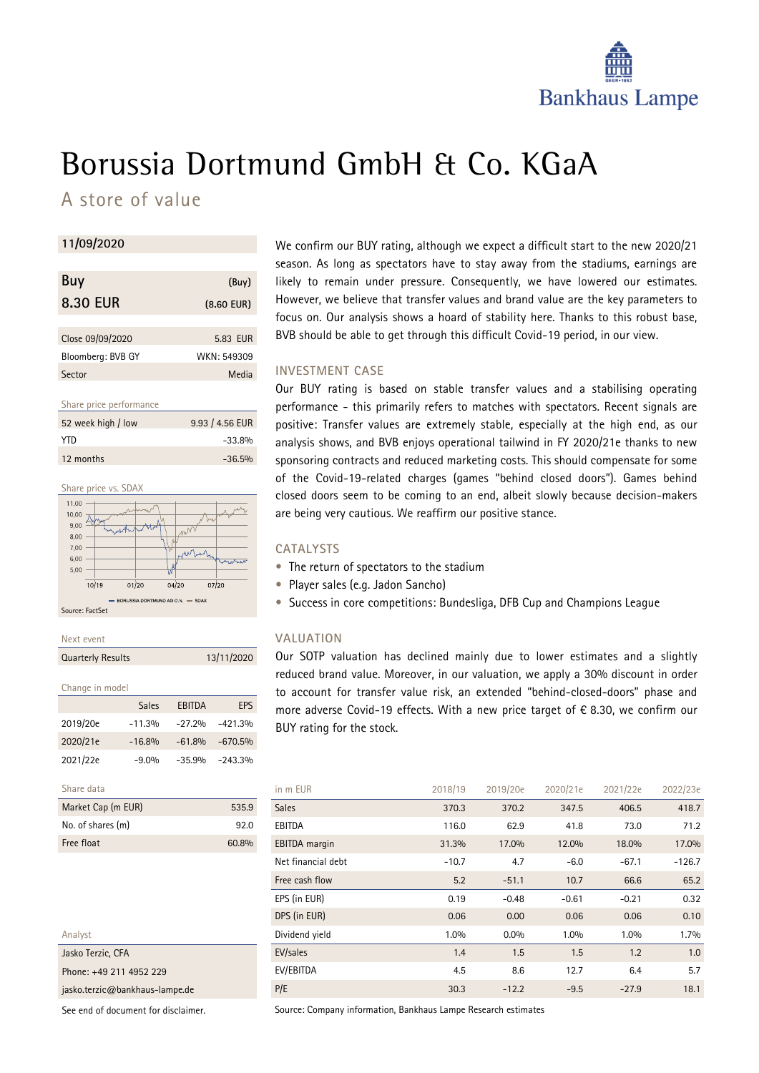

# Borussia Dortmund GmbH & Co. KGaA

A store of value

### **11/09/2020**

| Buy               | (Buy)        |
|-------------------|--------------|
| 8.30 EUR          | $(8.60$ EUR) |
|                   |              |
| Close 09/09/2020  | 5.83 EUR     |
| Bloomberg: BVB GY | WKN: 549309  |
| Sector            | Media        |

Share price performance

| 52 week high / low | 9.93 / 4.56 EUR |
|--------------------|-----------------|
| YTD.               | $-33.8%$        |
| 12 months          | $-36.5%$        |



Next event

| <b>Quarterly Results</b> | 13/11/2020 |
|--------------------------|------------|

| Change in model |  |
|-----------------|--|
|                 |  |

|            | Sales    | EBITDA    | EPS        |
|------------|----------|-----------|------------|
| 2019/20e   | $-11.3%$ | $-27.2%$  | $-421.3%$  |
| 2020/21e   | $-16.8%$ | $-61.8\%$ | $-670.5\%$ |
| 2021/22e   | $-9.0%$  | $-35.9%$  | $-243.3%$  |
| Share data |          |           |            |
|            |          |           |            |

| Market Cap (m EUR) | 5359  |
|--------------------|-------|
| No. of shares (m)  | 920   |
| Free float         | 60.8% |

| Analyst                            |
|------------------------------------|
| Jasko Terzic, CFA                  |
| Phone: +49 211 4952 229            |
| jasko terzic $@$ bankhaus-lampe de |

See end of document for disclaimer.

We confirm our BUY rating, although we expect a difficult start to the new 2020/21 season. As long as spectators have to stay away from the stadiums, earnings are likely to remain under pressure. Consequently, we have lowered our estimates. However, we believe that transfer values and brand value are the key parameters to focus on. Our analysis shows a hoard of stability here. Thanks to this robust base, BVB should be able to get through this difficult Covid-19 period, in our view.

## **INVESTMENT CASE**

Our BUY rating is based on stable transfer values and a stabilising operating performance - this primarily refers to matches with spectators. Recent signals are positive: Transfer values are extremely stable, especially at the high end, as our analysis shows, and BVB enjoys operational tailwind in FY 2020/21e thanks to new sponsoring contracts and reduced marketing costs. This should compensate for some of the Covid-19-related charges (games "behind closed doors"). Games behind closed doors seem to be coming to an end, albeit slowly because decision-makers are being very cautious. We reaffirm our positive stance.

## **CATALYSTS**

- The return of spectators to the stadium
- Player sales (e.g. Jadon Sancho)
- Success in core competitions: Bundesliga, DFB Cup and Champions League

### **VALUATION**

Our SOTP valuation has declined mainly due to lower estimates and a slightly reduced brand value. Moreover, in our valuation, we apply a 30% discount in order to account for transfer value risk, an extended "behind-closed-doors" phase and more adverse Covid-19 effects. With a new price target of € 8.30, we confirm our BUY rating for the stock.

| in m EUR             | 2018/19 | 2019/20e | 2020/21e | 2021/22e | 2022/23e |
|----------------------|---------|----------|----------|----------|----------|
| <b>Sales</b>         | 370.3   | 370.2    | 347.5    | 406.5    | 418.7    |
| EBITDA               | 116.0   | 62.9     | 41.8     | 73.0     | 71.2     |
| <b>EBITDA</b> margin | 31.3%   | 17.0%    | 12.0%    | 18.0%    | 17.0%    |
| Net financial debt   | $-10.7$ | 4.7      | $-6.0$   | $-67.1$  | $-126.7$ |
| Free cash flow       | 5.2     | $-51.1$  | 10.7     | 66.6     | 65.2     |
| EPS (in EUR)         | 0.19    | $-0.48$  | $-0.61$  | $-0.21$  | 0.32     |
| DPS (in EUR)         | 0.06    | 0.00     | 0.06     | 0.06     | 0.10     |
| Dividend yield       | $1.0\%$ | $0.0\%$  | 1.0%     | 1.0%     | 1.7%     |
| EV/sales             | 1.4     | 1.5      | 1.5      | 1.2      | 1.0      |
| EV/EBITDA            | 4.5     | 8.6      | 12.7     | 6.4      | 5.7      |
| P/E                  | 30.3    | $-12.2$  | $-9.5$   | $-27.9$  | 18.1     |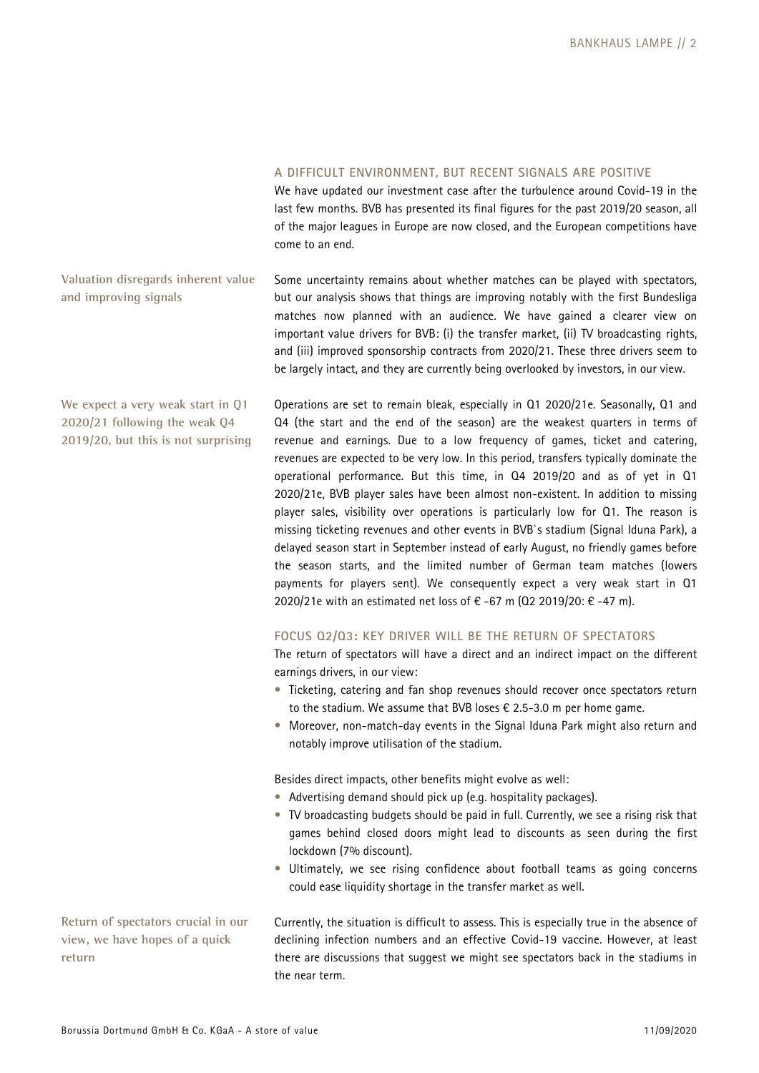## **A DIFFICULT ENVIRONMENT, BUT RECENT SIGNALS ARE POSITIVE**

We have updated our investment case after the turbulence around Covid-19 in the last few months. BVB has presented its final figures for the past 2019/20 season, all of the major leagues in Europe are now closed, and the European competitions have come to an end.

**Valuation disregards inherent value and improving signals** 

Some uncertainty remains about whether matches can be played with spectators, but our analysis shows that things are improving notably with the first Bundesliga matches now planned with an audience. We have gained a clearer view on important value drivers for BVB: (i) the transfer market, (ii) TV broadcasting rights, and (iii) improved sponsorship contracts from 2020/21. These three drivers seem to be largely intact, and they are currently being overlooked by investors, in our view.

Operations are set to remain bleak, especially in Q1 2020/21e. Seasonally, Q1 and Q4 (the start and the end of the season) are the weakest quarters in terms of revenue and earnings. Due to a low frequency of games, ticket and catering, revenues are expected to be very low. In this period, transfers typically dominate the operational performance. But this time, in Q4 2019/20 and as of yet in Q1 2020/21e, BVB player sales have been almost non-existent. In addition to missing player sales, visibility over operations is particularly low for Q1. The reason is missing ticketing revenues and other events in BVB`s stadium (Signal Iduna Park), a delayed season start in September instead of early August, no friendly games before the season starts, and the limited number of German team matches (lowers payments for players sent). We consequently expect a very weak start in Q1 2020/21e with an estimated net loss of € -67 m (02 2019/20: € -47 m).

## **FOCUS Q2/Q3: KEY DRIVER WILL BE THE RETURN OF SPECTATORS**

The return of spectators will have a direct and an indirect impact on the different earnings drivers, in our view:

- Ticketing, catering and fan shop revenues should recover once spectators return to the stadium. We assume that BVB loses € 2.5-3.0 m per home game.
- Moreover, non-match-day events in the Signal Iduna Park might also return and notably improve utilisation of the stadium.

Besides direct impacts, other benefits might evolve as well:

- Advertising demand should pick up (e.g. hospitality packages).
- TV broadcasting budgets should be paid in full. Currently, we see a rising risk that games behind closed doors might lead to discounts as seen during the first lockdown (7% discount).
- Ultimately, we see rising confidence about football teams as going concerns could ease liquidity shortage in the transfer market as well.

Currently, the situation is difficult to assess. This is especially true in the absence of declining infection numbers and an effective Covid-19 vaccine. However, at least there are discussions that suggest we might see spectators back in the stadiums in the near term.

**We expect a very weak start in Q1 2020/21 following the weak Q4 2019/20, but this is not surprising** 

**Return of spectators crucial in our view, we have hopes of a quick return**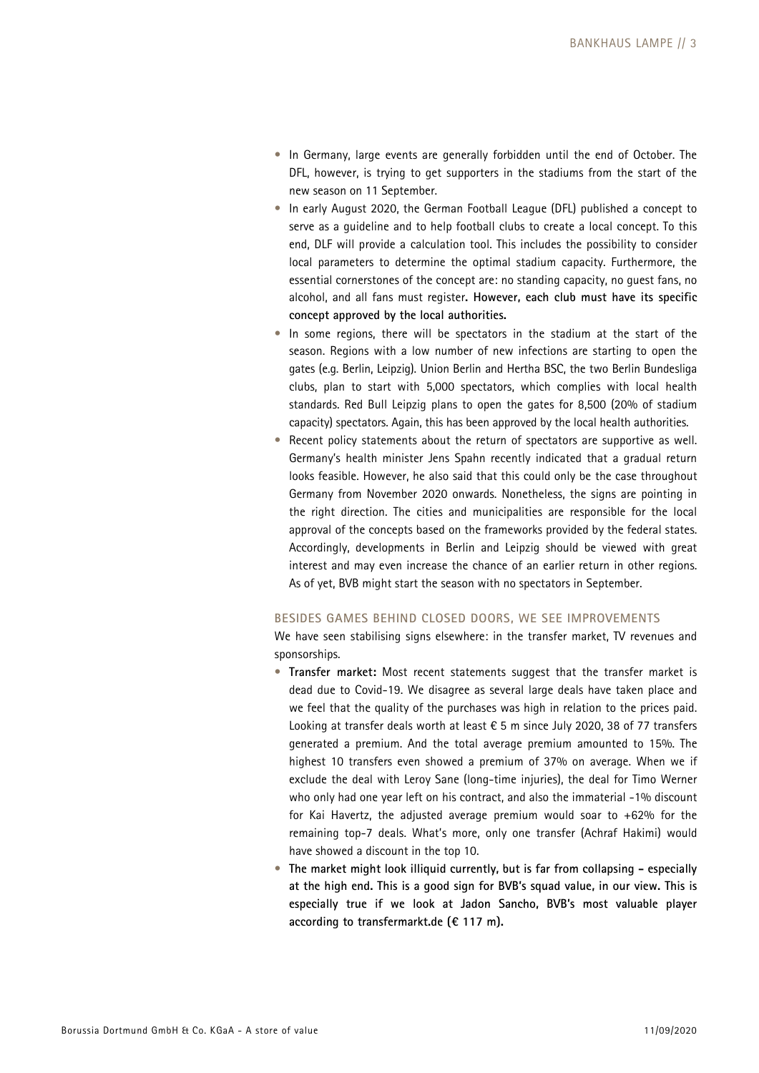- In Germany, large events are generally forbidden until the end of October. The DFL, however, is trying to get supporters in the stadiums from the start of the new season on 11 September.
- In early August 2020, the German Football League (DFL) published a concept to serve as a guideline and to help football clubs to create a local concept. To this end, DLF will provide a calculation tool. This includes the possibility to consider local parameters to determine the optimal stadium capacity. Furthermore, the essential cornerstones of the concept are: no standing capacity, no guest fans, no alcohol, and all fans must register**. However, each club must have its specific concept approved by the local authorities.**
- In some regions, there will be spectators in the stadium at the start of the season. Regions with a low number of new infections are starting to open the gates (e.g. Berlin, Leipzig). Union Berlin and Hertha BSC, the two Berlin Bundesliga clubs, plan to start with 5,000 spectators, which complies with local health standards. Red Bull Leipzig plans to open the gates for 8,500 (20% of stadium capacity) spectators. Again, this has been approved by the local health authorities.
- Recent policy statements about the return of spectators are supportive as well. Germany's health minister Jens Spahn recently indicated that a gradual return looks feasible. However, he also said that this could only be the case throughout Germany from November 2020 onwards. Nonetheless, the signs are pointing in the right direction. The cities and municipalities are responsible for the local approval of the concepts based on the frameworks provided by the federal states. Accordingly, developments in Berlin and Leipzig should be viewed with great interest and may even increase the chance of an earlier return in other regions. As of yet, BVB might start the season with no spectators in September.

### **BESIDES GAMES BEHIND CLOSED DOORS, WE SEE IMPROVEMENTS**

We have seen stabilising signs elsewhere: in the transfer market, TV revenues and sponsorships.

- **Transfer market:** Most recent statements suggest that the transfer market is dead due to Covid-19. We disagree as several large deals have taken place and we feel that the quality of the purchases was high in relation to the prices paid. Looking at transfer deals worth at least € 5 m since July 2020, 38 of 77 transfers generated a premium. And the total average premium amounted to 15%. The highest 10 transfers even showed a premium of 37% on average. When we if exclude the deal with Leroy Sane (long-time injuries), the deal for Timo Werner who only had one year left on his contract, and also the immaterial -1% discount for Kai Havertz, the adjusted average premium would soar to +62% for the remaining top-7 deals. What's more, only one transfer (Achraf Hakimi) would have showed a discount in the top 10.
- **The market might look illiquid currently, but is far from collapsing especially at the high end. This is a good sign for BVB's squad value, in our view. This is especially true if we look at Jadon Sancho, BVB's most valuable player according to transfermarkt.de (€ 117 m).**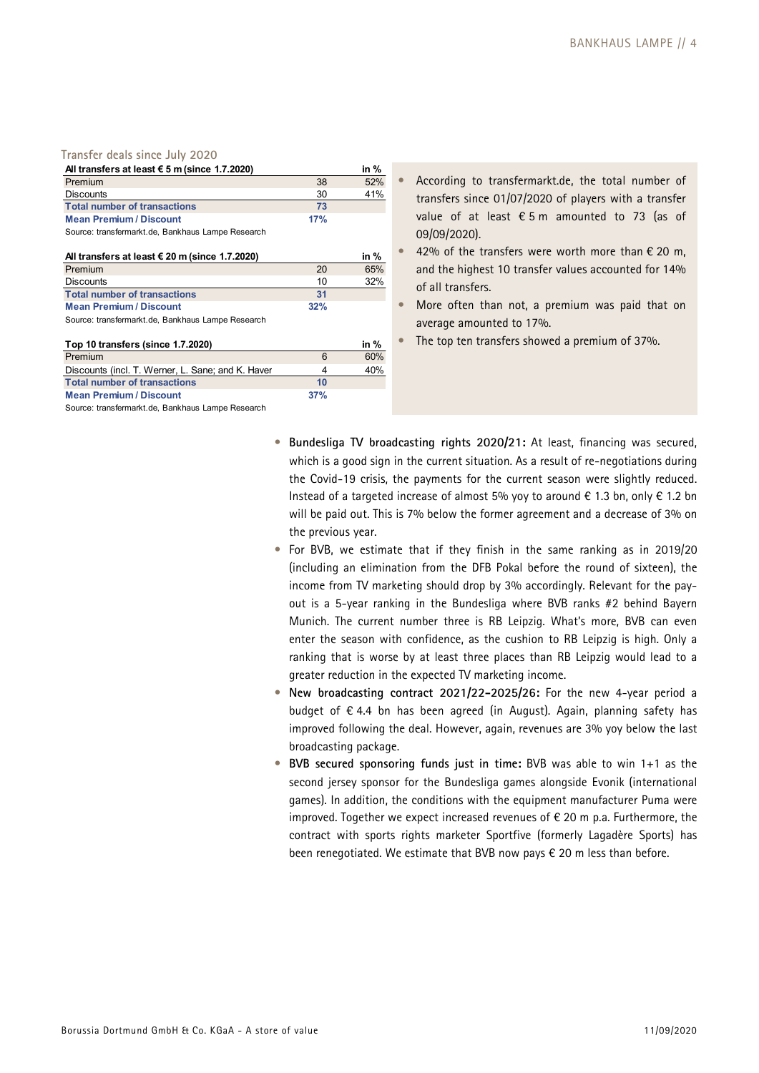### **Transfer deals since July 2020**

| All transfers at least $\epsilon$ 5 m (since 1.7.2020) |     | in $%$ |
|--------------------------------------------------------|-----|--------|
| Premium                                                | 38  | 52%    |
| Discounts                                              | 30  | 41%    |
| <b>Total number of transactions</b>                    | 73  |        |
| <b>Mean Premium / Discount</b>                         | 17% |        |
|                                                        |     |        |

Source: transfermarkt.de, Bankhaus Lampe Research

| All transfers at least $\epsilon$ 20 m (since 1.7.2020) |     | in % |
|---------------------------------------------------------|-----|------|
| Premium                                                 | 20  | 65%  |
| <b>Discounts</b>                                        | 10  | 32%  |
| <b>Total number of transactions</b>                     | -31 |      |
| <b>Mean Premium / Discount</b>                          | 32% |      |
| .                                                       |     |      |

Source: transfermarkt.de, Bankhaus Lampe Research

| Top 10 transfers (since 1.7.2020)                 |     | in $%$ |
|---------------------------------------------------|-----|--------|
| Premium                                           | 6   | 60%    |
| Discounts (incl. T. Werner, L. Sane; and K. Haver | 4   | 40%    |
| <b>Total number of transactions</b>               | 10  |        |
| <b>Mean Premium / Discount</b>                    | 37% |        |

Source: transfermarkt.de, Bankhaus Lampe Research

- According to transfermarkt.de, the total number of transfers since 01/07/2020 of players with a transfer value of at least  $\epsilon$  5 m amounted to 73 (as of 09/09/2020).
- 42% of the transfers were worth more than  $€ 20$  m, and the highest 10 transfer values accounted for 14% of all transfers.
- More often than not, a premium was paid that on average amounted to 17%.
- The top ten transfers showed a premium of 37%.
- **Bundesliga TV broadcasting rights 2020/21:** At least, financing was secured, which is a good sign in the current situation. As a result of re-negotiations during the Covid-19 crisis, the payments for the current season were slightly reduced. Instead of a targeted increase of almost 5% yoy to around € 1.3 bn, only € 1.2 bn will be paid out. This is 7% below the former agreement and a decrease of 3% on the previous year.
- For BVB, we estimate that if they finish in the same ranking as in 2019/20 (including an elimination from the DFB Pokal before the round of sixteen), the income from TV marketing should drop by 3% accordingly. Relevant for the payout is a 5-year ranking in the Bundesliga where BVB ranks #2 behind Bayern Munich. The current number three is RB Leipzig. What's more, BVB can even enter the season with confidence, as the cushion to RB Leipzig is high. Only a ranking that is worse by at least three places than RB Leipzig would lead to a greater reduction in the expected TV marketing income.
- **New broadcasting contract 2021/22-2025/26:** For the new 4-year period a budget of € 4.4 bn has been agreed (in August). Again, planning safety has improved following the deal. However, again, revenues are 3% yoy below the last broadcasting package.
- **BVB secured sponsoring funds just in time:** BVB was able to win 1+1 as the second jersey sponsor for the Bundesliga games alongside Evonik (international games). In addition, the conditions with the equipment manufacturer Puma were improved. Together we expect increased revenues of € 20 m p.a. Furthermore, the contract with sports rights marketer Sportfive (formerly Lagadère Sports) has been renegotiated. We estimate that BVB now pays € 20 m less than before.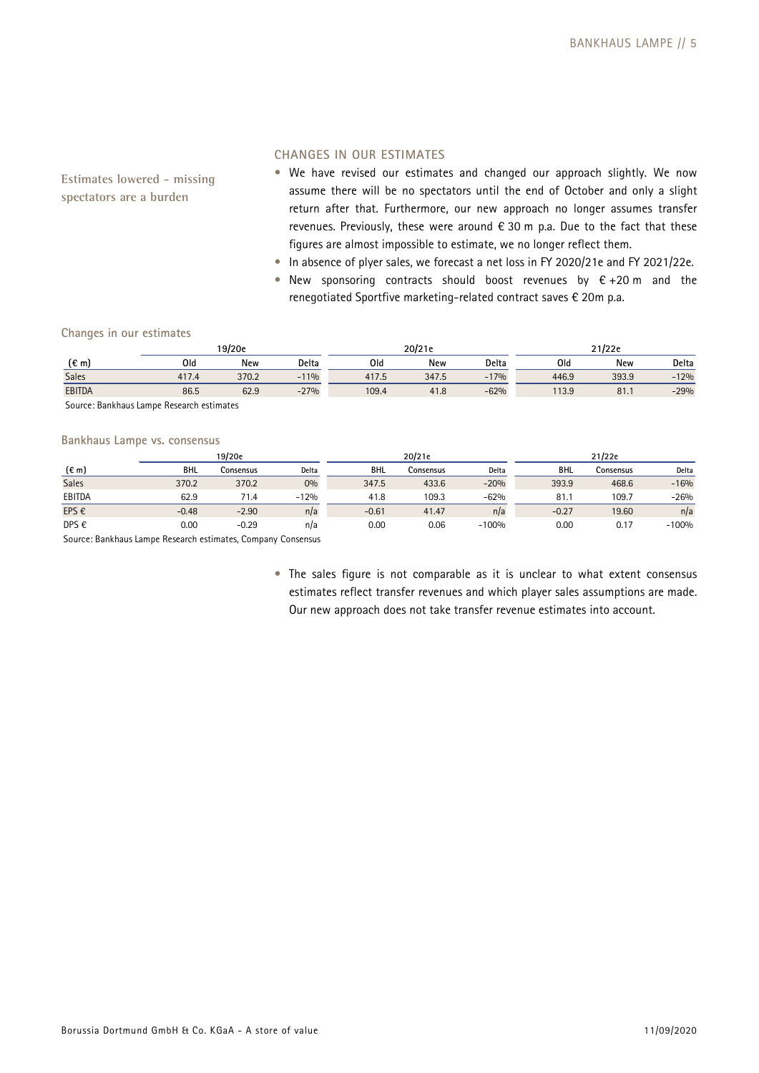**Estimates lowered - missing spectators are a burden** 

### **CHANGES IN OUR ESTIMATES**

- We have revised our estimates and changed our approach slightly. We now assume there will be no spectators until the end of October and only a slight return after that. Furthermore, our new approach no longer assumes transfer revenues. Previously, these were around  $\epsilon$  30 m p.a. Due to the fact that these figures are almost impossible to estimate, we no longer reflect them.
- In absence of plyer sales, we forecast a net loss in FY 2020/21e and FY 2021/22e.
- New sponsoring contracts should boost revenues by  $\epsilon$  +20 m and the renegotiated Sportfive marketing-related contract saves € 20m p.a.

### **Changes in our estimates**

|                | 19/20e |       |        | 20/21e |       |        | 21/22e |            |        |
|----------------|--------|-------|--------|--------|-------|--------|--------|------------|--------|
| $(\epsilon m)$ | Old    | New   | Delta  | Old    | New   | Delta  | Old    | <b>New</b> | Delta  |
| Sales          | 417.4  | 370.2 | $-11%$ | 417.5  | 347.5 | $-17%$ | 446.9  | 393.9      | $-12%$ |
| <b>EBITDA</b>  | 86.5   | 62.9  | $-27%$ | 109.4  | 41.8  | $-62%$ | 113.9  | 81.1       | $-29%$ |
| ___<br>$\sim$  | $\sim$ |       |        |        |       |        |        |            |        |

Source: Bankhaus Lampe Research estimates

### **Bankhaus Lampe vs. consensus**

|                |         | 19/20e    |        |            | 20/21e    |         |            | 21/22e    |         |
|----------------|---------|-----------|--------|------------|-----------|---------|------------|-----------|---------|
| $(\epsilon m)$ | BHL     | Consensus | Delta  | <b>BHL</b> | Consensus | Delta   | <b>BHL</b> | Consensus | Delta   |
| <b>Sales</b>   | 370.2   | 370.2     | 0%     | 347.5      | 433.6     | $-20%$  | 393.9      | 468.6     | $-16%$  |
| EBITDA         | 62.9    | 71.4      | $-12%$ | 41.8       | 109.3     | $-62%$  | 81.1       | 109.7     | $-26%$  |
| EPS €          | $-0.48$ | $-2.90$   | n/a    | $-0.61$    | 41.47     | n/a     | $-0.27$    | 19.60     | n/a     |
| DPS €          | 0.00    | $-0.29$   | n/a    | 0.00       | 0.06      | $-100%$ | 0.00       | 0.17      | $-100%$ |
| $\sim$<br>_    | .       | ______    |        |            |           |         |            |           |         |

Source: Bankhaus Lampe Research estimates, Company Consensus

• The sales figure is not comparable as it is unclear to what extent consensus estimates reflect transfer revenues and which player sales assumptions are made. Our new approach does not take transfer revenue estimates into account.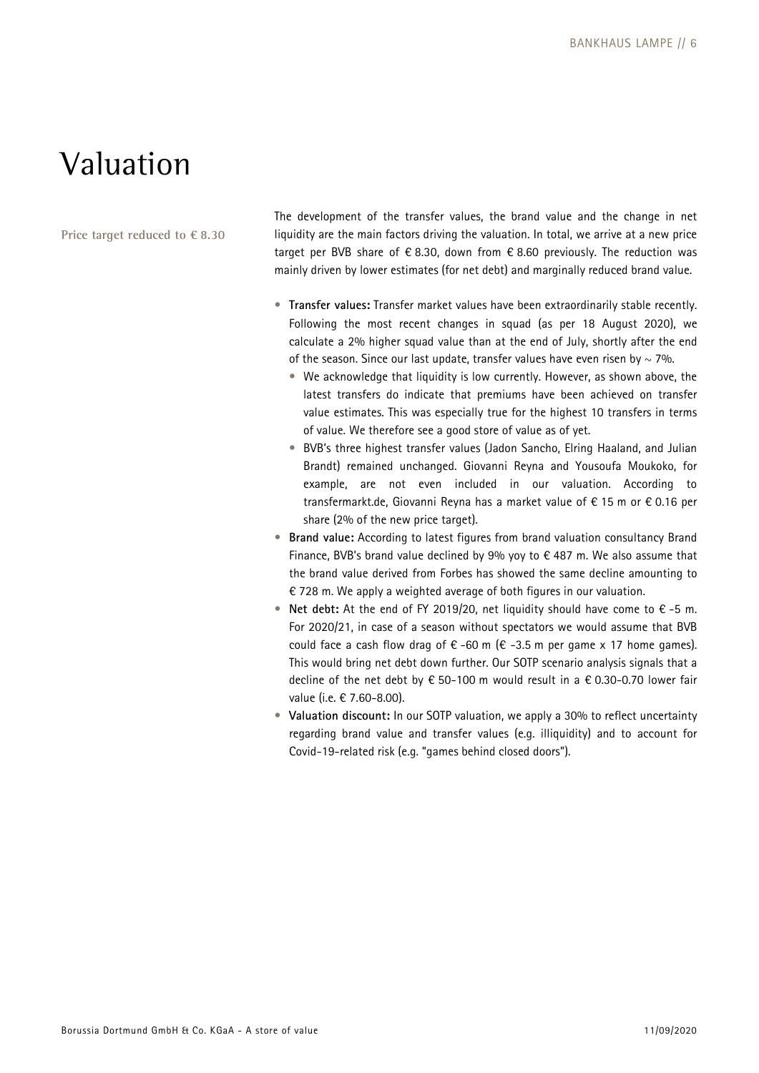## Valuation

**Price target reduced to € 8.30** 

The development of the transfer values, the brand value and the change in net liquidity are the main factors driving the valuation. In total, we arrive at a new price target per BVB share of  $\epsilon$  8.30, down from  $\epsilon$  8.60 previously. The reduction was mainly driven by lower estimates (for net debt) and marginally reduced brand value.

- **Transfer values:** Transfer market values have been extraordinarily stable recently. Following the most recent changes in squad (as per 18 August 2020), we calculate a 2% higher squad value than at the end of July, shortly after the end of the season. Since our last update, transfer values have even risen by  $\sim$  7%.
	- We acknowledge that liquidity is low currently. However, as shown above, the latest transfers do indicate that premiums have been achieved on transfer value estimates. This was especially true for the highest 10 transfers in terms of value. We therefore see a good store of value as of yet.
	- BVB's three highest transfer values (Jadon Sancho, Elring Haaland, and Julian Brandt) remained unchanged. Giovanni Reyna and Yousoufa Moukoko, for example, are not even included in our valuation. According to transfermarkt.de, Giovanni Reyna has a market value of € 15 m or € 0.16 per share (2% of the new price target).
- **Brand value:** According to latest figures from brand valuation consultancy Brand Finance, BVB's brand value declined by 9% yoy to  $\epsilon$  487 m. We also assume that the brand value derived from Forbes has showed the same decline amounting to € 728 m. We apply a weighted average of both figures in our valuation.
- **Net debt:** At the end of FY 2019/20, net liquidity should have come to € -5 m. For 2020/21, in case of a season without spectators we would assume that BVB could face a cash flow drag of  $\epsilon$  -60 m ( $\epsilon$  -3.5 m per game x 17 home games). This would bring net debt down further. Our SOTP scenario analysis signals that a decline of the net debt by € 50-100 m would result in a € 0.30-0.70 lower fair value (i.e. € 7.60-8.00).
- **Valuation discount:** In our SOTP valuation, we apply a 30% to reflect uncertainty regarding brand value and transfer values (e.g. illiquidity) and to account for Covid-19-related risk (e.g. "games behind closed doors").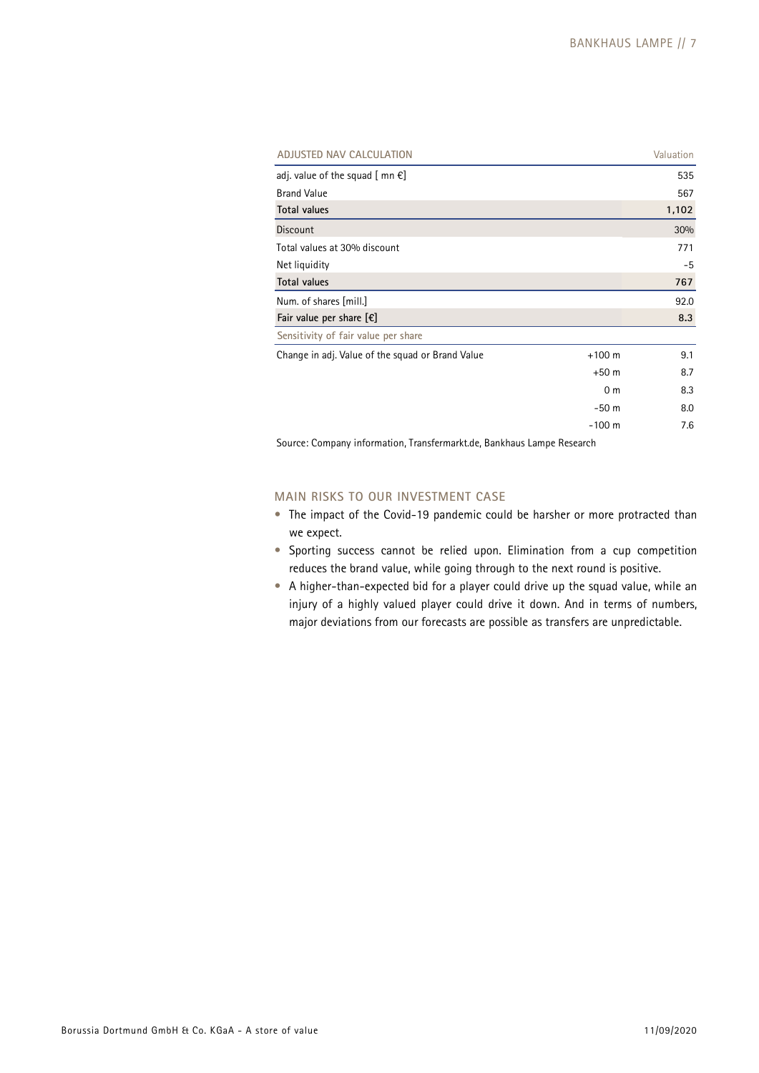| ADJUSTED NAV CALCULATION                                             |                | Valuation |
|----------------------------------------------------------------------|----------------|-----------|
| adj. value of the squad $[$ mn $\epsilon]$                           |                | 535       |
| <b>Brand Value</b>                                                   |                | 567       |
| <b>Total values</b>                                                  |                | 1,102     |
| <b>Discount</b>                                                      |                | 30%       |
| Total values at 30% discount                                         |                | 771       |
| Net liquidity                                                        |                | $-5$      |
| <b>Total values</b>                                                  |                | 767       |
| Num. of shares [mill.]                                               |                | 92.0      |
| Fair value per share $[\mathcal{E}]$                                 |                | 8.3       |
| Sensitivity of fair value per share                                  |                |           |
| Change in adj. Value of the squad or Brand Value                     | $+100$ m       | 9.1       |
|                                                                      | $+50m$         | 8.7       |
|                                                                      | 0 <sub>m</sub> | 8.3       |
|                                                                      | $-50m$         | 8.0       |
|                                                                      | $-100$ m       | 7.6       |
| Course: Company information Transformarkt de Depkhous Lampe Desparab |                |           |

Source: Company information, Transfermarkt.de, Bankhaus Lampe Research

## **MAIN RISKS TO OUR INVESTMENT CASE**

- The impact of the Covid-19 pandemic could be harsher or more protracted than we expect.
- Sporting success cannot be relied upon. Elimination from a cup competition reduces the brand value, while going through to the next round is positive.
- A higher-than-expected bid for a player could drive up the squad value, while an injury of a highly valued player could drive it down. And in terms of numbers, major deviations from our forecasts are possible as transfers are unpredictable.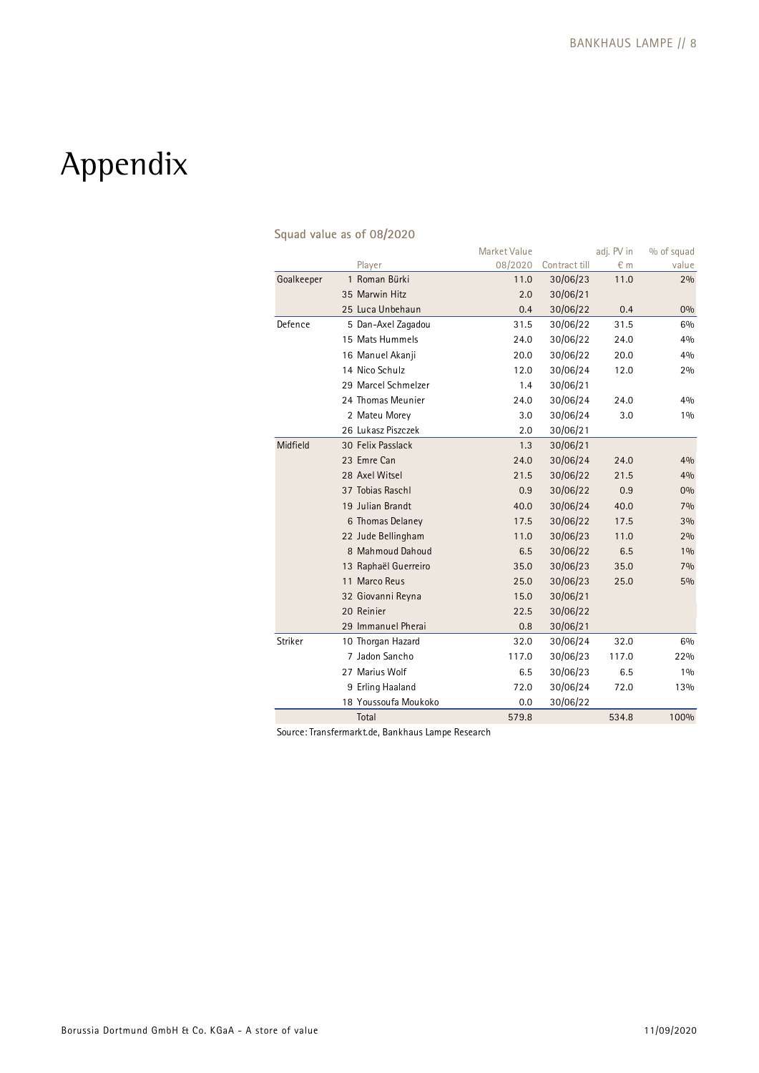# Appendix

|            |                      | Market Value |               | adj. PV in | % of squad |
|------------|----------------------|--------------|---------------|------------|------------|
|            | Player               | 08/2020      | Contract till | € m        | value      |
| Goalkeeper | 1 Roman Bürki        | 11.0         | 30/06/23      | 11.0       | 2%         |
|            | 35 Marwin Hitz       | 2.0          | 30/06/21      |            |            |
|            | 25 Luca Unbehaun     | 0.4          | 30/06/22      | 0.4        | 0%         |
| Defence    | 5 Dan-Axel Zagadou   | 31.5         | 30/06/22      | 31.5       | 6%         |
|            | 15 Mats Hummels      | 24.0         | 30/06/22      | 24.0       | 4%         |
|            | 16 Manuel Akanji     | 20.0         | 30/06/22      | 20.0       | 4%         |
|            | 14 Nico Schulz       | 12.0         | 30/06/24      | 12.0       | 2%         |
|            | 29 Marcel Schmelzer  | 1.4          | 30/06/21      |            |            |
|            | 24 Thomas Meunier    | 24.0         | 30/06/24      | 24.0       | 4%         |
|            | 2 Mateu Morey        | 3.0          | 30/06/24      | 3.0        | 10/0       |
|            | 26 Lukasz Piszczek   | 2.0          | 30/06/21      |            |            |
| Midfield   | 30 Felix Passlack    | 1.3          | 30/06/21      |            |            |
|            | 23 Emre Can          | 24.0         | 30/06/24      | 24.0       | 4%         |
|            | 28 Axel Witsel       | 21.5         | 30/06/22      | 21.5       | 4%         |
|            | 37 Tobias Raschl     | 0.9          | 30/06/22      | 0.9        | 0%         |
|            | 19 Julian Brandt     | 40.0         | 30/06/24      | 40.0       | 7%         |
|            | 6 Thomas Delaney     | 17.5         | 30/06/22      | 17.5       | 3%         |
|            | 22 Jude Bellingham   | 11.0         | 30/06/23      | 11.0       | 2%         |
|            | 8 Mahmoud Dahoud     | 6.5          | 30/06/22      | 6.5        | 1%         |
|            | 13 Raphaël Guerreiro | 35.0         | 30/06/23      | 35.0       | 7%         |
|            | 11 Marco Reus        | 25.0         | 30/06/23      | 25.0       | 5%         |
|            | 32 Giovanni Reyna    | 15.0         | 30/06/21      |            |            |
|            | 20 Reinier           | 22.5         | 30/06/22      |            |            |
|            | 29 Immanuel Pherai   | 0.8          | 30/06/21      |            |            |
| Striker    | 10 Thorgan Hazard    | 32.0         | 30/06/24      | 32.0       | 6%         |
|            | 7 Jadon Sancho       | 117.0        | 30/06/23      | 117.0      | 22%        |
|            | 27 Marius Wolf       | 6.5          | 30/06/23      | 6.5        | 1%         |
|            | 9 Erling Haaland     | 72.0         | 30/06/24      | 72.0       | 13%        |
|            | 18 Youssoufa Moukoko | 0.0          | 30/06/22      |            |            |
|            | Total                | 579.8        |               | 534.8      | 100%       |

## **Squad value as of 08/2020**

Source: Transfermarkt.de, Bankhaus Lampe Research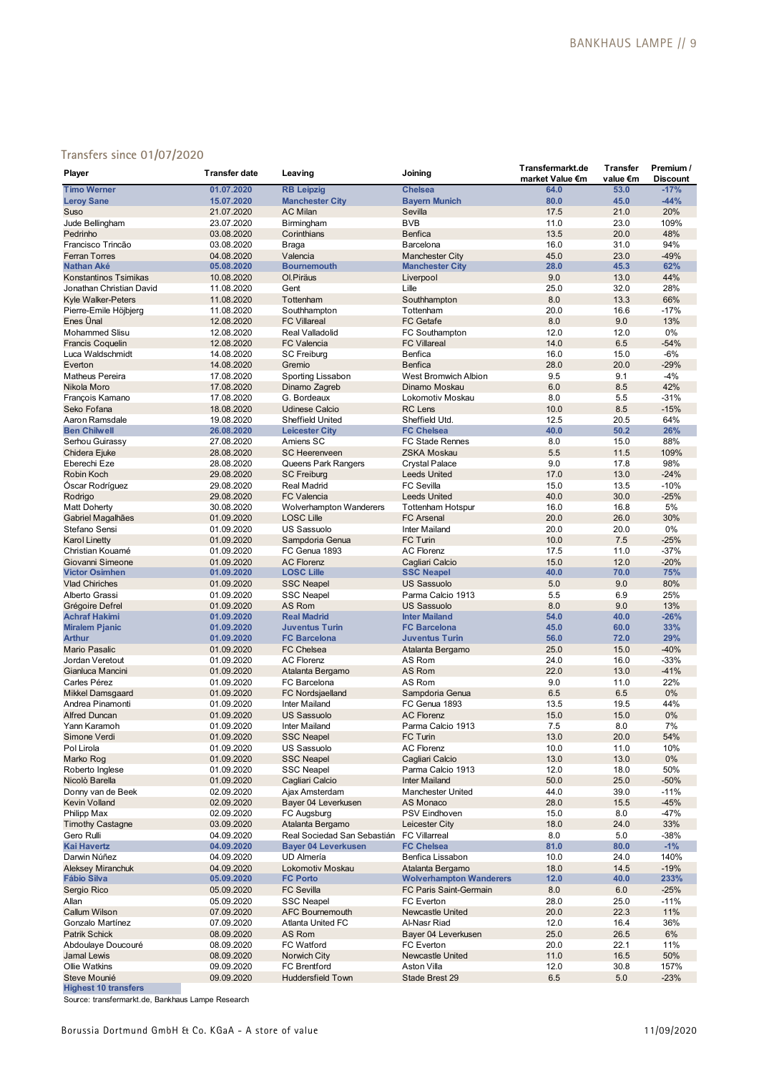## **Transfers since 01/07/2020**

| Player                                     | <b>Transfer date</b>     | Leaving                                      | Joining                                      | Transfermarkt.de        | <b>Transfer</b>  | Premium /                 |
|--------------------------------------------|--------------------------|----------------------------------------------|----------------------------------------------|-------------------------|------------------|---------------------------|
| <b>Timo Werner</b>                         | 01.07.2020               | <b>RB</b> Leipzig                            | <b>Chelsea</b>                               | market Value €m<br>64.0 | value €m<br>53.0 | <b>Discount</b><br>$-17%$ |
| <b>Leroy Sane</b>                          | 15.07.2020               | <b>Manchester City</b>                       | <b>Bayern Munich</b>                         | 80.0                    | 45.0             | $-44%$                    |
| Suso                                       | 21.07.2020               | <b>AC Milan</b>                              | Sevilla                                      | 17.5                    | 21.0             | 20%                       |
| Jude Bellingham                            | 23.07.2020               | Birmingham                                   | <b>BVB</b>                                   | 11.0                    | 23.0             | 109%                      |
| Pedrinho                                   | 03.08.2020               | Corinthians                                  | <b>Benfica</b>                               | 13.5                    | 20.0             | 48%                       |
| Francisco Trincão                          | 03.08.2020               | Braga                                        | Barcelona                                    | 16.0                    | 31.0             | 94%                       |
| <b>Ferran Torres</b>                       | 04.08.2020               | Valencia                                     | <b>Manchester City</b>                       | 45.0                    | 23.0             | $-49%$                    |
| <b>Nathan Aké</b>                          | 05.08.2020               | <b>Bournemouth</b>                           | <b>Manchester City</b>                       | 28.0                    | 45.3             | 62%                       |
| Konstantinos Tsimikas                      | 10.08.2020               | Ol.Piräus                                    | Liverpool                                    | 9.0                     | 13.0             | 44%                       |
| Jonathan Christian David                   | 11.08.2020               | Gent                                         | Lille                                        | 25.0                    | 32.0             | 28%                       |
| <b>Kyle Walker-Peters</b>                  | 11.08.2020               | Tottenham                                    | Southhampton                                 | 8.0                     | 13.3             | 66%                       |
| Pierre-Emile Höjbjerg                      | 11.08.2020               | Southhampton                                 | Tottenham                                    | 20.0                    | 16.6             | $-17%$                    |
| Enes Ünal                                  | 12.08.2020               | <b>FC Villareal</b>                          | <b>FC</b> Getafe                             | 8.0                     | 9.0              | 13%                       |
| Mohammed Slisu                             | 12.08.2020               | Real Valladolid                              | FC Southampton                               | 12.0                    | 12.0             | 0%                        |
| <b>Francis Coquelin</b>                    | 12.08.2020               | <b>FC Valencia</b>                           | <b>FC Villareal</b>                          | 14.0                    | 6.5              | $-54%$                    |
| Luca Waldschmidt                           | 14.08.2020               | <b>SC Freiburg</b>                           | Benfica                                      | 16.0                    | 15.0             | $-6%$                     |
| Everton                                    | 14.08.2020               | Gremio                                       | <b>Benfica</b>                               | 28.0                    | 20.0             | $-29%$                    |
| <b>Matheus Pereira</b>                     | 17.08.2020               | Sporting Lissabon                            | West Bromwich Albion<br>Dinamo Moskau        | 9.5<br>6.0              | 9.1<br>8.5       | $-4%$<br>42%              |
| Nikola Moro<br>François Kamano             | 17.08.2020<br>17.08.2020 | Dinamo Zagreb<br>G. Bordeaux                 | Lokomotiv Moskau                             | 8.0                     | 5.5              | $-31%$                    |
| Seko Fofana                                | 18.08.2020               | <b>Udinese Calcio</b>                        | <b>RC</b> Lens                               | 10.0                    | 8.5              | $-15%$                    |
| Aaron Ramsdale                             | 19.08.2020               | <b>Sheffield United</b>                      | Sheffield Utd.                               | 12.5                    | 20.5             | 64%                       |
| <b>Ben Chilwell</b>                        | 26.08.2020               | <b>Leicester City</b>                        | <b>FC Chelsea</b>                            | 40.0                    | 50.2             | 26%                       |
| Serhou Guirassy                            | 27.08.2020               | Amiens SC                                    | FC Stade Rennes                              | 8.0                     | 15.0             | 88%                       |
| Chidera Ejuke                              | 28.08.2020               | <b>SC Heerenveen</b>                         | <b>ZSKA Moskau</b>                           | 5.5                     | 11.5             | 109%                      |
| Eberechi Eze                               | 28.08.2020               | Queens Park Rangers                          | Crystal Palace                               | 9.0                     | 17.8             | 98%                       |
| Robin Koch                                 | 29.08.2020               | <b>SC Freiburg</b>                           | <b>Leeds United</b>                          | 17.0                    | 13.0             | $-24%$                    |
| Óscar Rodríguez                            | 29.08.2020               | <b>Real Madrid</b>                           | <b>FC Sevilla</b>                            | 15.0                    | 13.5             | $-10%$                    |
| Rodrigo                                    | 29.08.2020               | <b>FC Valencia</b>                           | <b>Leeds United</b>                          | 40.0                    | 30.0             | $-25%$                    |
| Matt Doherty                               | 30.08.2020               | <b>Wolverhampton Wanderers</b>               | <b>Tottenham Hotspur</b>                     | 16.0                    | 16.8             | 5%                        |
| Gabriel Magalhães                          | 01.09.2020               | <b>LOSC Lille</b>                            | <b>FC Arsenal</b>                            | 20.0                    | 26.0             | 30%                       |
| Stefano Sensi                              | 01.09.2020               | <b>US Sassuolo</b>                           | <b>Inter Mailand</b>                         | 20.0                    | 20.0             | 0%                        |
| <b>Karol Linetty</b>                       | 01.09.2020               | Sampdoria Genua                              | <b>FC Turin</b>                              | 10.0                    | 7.5              | $-25%$                    |
| Christian Kouamé                           | 01.09.2020               | FC Genua 1893                                | <b>AC Florenz</b>                            | 17.5                    | 11.0             | $-37%$                    |
| Giovanni Simeone                           | 01.09.2020               | <b>AC Florenz</b>                            | Cagliari Calcio                              | 15.0                    | 12.0             | $-20%$                    |
| <b>Victor Osimhen</b>                      | 01.09.2020               | <b>LOSC Lille</b>                            | <b>SSC Neapel</b>                            | 40.0                    | 70.0             | 75%                       |
| <b>Vlad Chiriches</b>                      | 01.09.2020               | <b>SSC Neapel</b>                            | <b>US Sassuolo</b>                           | 5.0                     | 9.0              | 80%                       |
| Alberto Grassi                             | 01.09.2020               | <b>SSC Neapel</b>                            | Parma Calcio 1913                            | 5.5                     | 6.9              | 25%                       |
| Grégoire Defrel                            | 01.09.2020               | AS Rom                                       | <b>US Sassuolo</b>                           | 8.0                     | 9.0              | 13%                       |
| <b>Achraf Hakimi</b>                       | 01.09.2020               | <b>Real Madrid</b>                           | <b>Inter Mailand</b>                         | 54.0                    | 40.0             | $-26%$                    |
| <b>Miralem Pjanic</b>                      | 01.09.2020               | <b>Juventus Turin</b><br><b>FC Barcelona</b> | <b>FC Barcelona</b><br><b>Juventus Turin</b> | 45.0<br>56.0            | 60.0<br>72.0     | 33%<br>29%                |
| <b>Arthur</b><br><b>Mario Pasalic</b>      | 01.09.2020               | <b>FC Chelsea</b>                            |                                              | 25.0                    | 15.0             | $-40%$                    |
| Jordan Veretout                            | 01.09.2020<br>01.09.2020 | <b>AC Florenz</b>                            | Atalanta Bergamo<br>AS Rom                   | 24.0                    | 16.0             | $-33%$                    |
| Gianluca Mancini                           | 01.09.2020               | Atalanta Bergamo                             | AS Rom                                       | 22.0                    | 13.0             | $-41%$                    |
| Carles Pérez                               | 01.09.2020               | FC Barcelona                                 | AS Rom                                       | 9.0                     | 11.0             | 22%                       |
| <b>Mikkel Damsgaard</b>                    | 01.09.2020               | <b>FC Nordsjaelland</b>                      | Sampdoria Genua                              | 6.5                     | 6.5              | 0%                        |
| Andrea Pinamonti                           | 01.09.2020               | <b>Inter Mailand</b>                         | FC Genua 1893                                | 13.5                    | 19.5             | 44%                       |
| <b>Alfred Duncan</b>                       | 01.09.2020               | <b>US Sassuolo</b>                           | <b>AC Florenz</b>                            | 15.0                    | 15.0             | 0%                        |
| Yann Karamoh                               | 01.09.2020               | Inter Mailand                                | Parma Calcio 1913                            | 7.5                     | 8.0              | 7%                        |
| Simone Verdi                               | 01.09.2020               | SSC Neapel                                   | FC Turin                                     | 13.0                    | 20.0             | 54%                       |
| Pol Lirola                                 | 01.09.2020               | US Sassuolo                                  | <b>AC Florenz</b>                            | 10.0                    | 11.0             | 10%                       |
| Marko Rog                                  | 01.09.2020               | <b>SSC Neapel</b>                            | Cagliari Calcio                              | 13.0                    | 13.0             | $0\%$                     |
| Roberto Inglese                            | 01.09.2020               | <b>SSC Neapel</b>                            | Parma Calcio 1913                            | 12.0                    | 18.0             | 50%                       |
| Nicolò Barella                             | 01.09.2020               | Cagliari Calcio                              | <b>Inter Mailand</b>                         | 50.0                    | 25.0             | $-50%$                    |
| Donny van de Beek                          | 02.09.2020               | Ajax Amsterdam                               | <b>Manchester United</b>                     | 44.0                    | 39.0             | $-11%$                    |
| <b>Kevin Volland</b>                       | 02.09.2020               | Bayer 04 Leverkusen                          | AS Monaco                                    | 28.0                    | 15.5             | $-45%$                    |
| Philipp Max                                | 02.09.2020               | FC Augsburg                                  | <b>PSV Eindhoven</b>                         | 15.0                    | 8.0              | $-47%$                    |
| <b>Timothy Castagne</b>                    | 03.09.2020               | Atalanta Bergamo                             | Leicester City                               | 18.0                    | 24.0             | 33%                       |
| Gero Rulli                                 | 04.09.2020               | Real Sociedad San Sebastián                  | <b>FC Villarreal</b>                         | 8.0                     | 5.0              | $-38%$                    |
| <b>Kai Havertz</b>                         | 04.09.2020               | <b>Bayer 04 Leverkusen</b>                   | <b>FC Chelsea</b>                            | 81.0                    | 80.0             | $-1%$                     |
| Darwin Núñez                               | 04.09.2020               | <b>UD Almería</b>                            | Benfica Lissabon                             | 10.0                    | 24.0             | 140%                      |
| Aleksey Miranchuk                          | 04.09.2020               | Lokomotiv Moskau                             | Atalanta Bergamo                             | 18.0                    | 14.5             | $-19%$                    |
| <b>Fábio Silva</b>                         | 05.09.2020               | <b>FC Porto</b>                              | <b>Wolverhampton Wanderers</b>               | 12.0                    | 40.0             | 233%                      |
| Sergio Rico                                | 05.09.2020               | <b>FC Sevilla</b>                            | FC Paris Saint-Germain                       | 8.0                     | 6.0              | $-25%$                    |
| Allan                                      | 05.09.2020               | <b>SSC Neapel</b>                            | FC Everton                                   | 28.0                    | 25.0             | $-11%$                    |
| <b>Callum Wilson</b>                       | 07.09.2020               | <b>AFC Bournemouth</b>                       | <b>Newcastle United</b><br>Al-Nasr Riad      | 20.0                    | 22.3             | 11%                       |
| Gonzalo Martínez                           | 07.09.2020               | Atlanta United FC                            |                                              | 12.0                    | 16.4             | 36%                       |
| <b>Patrik Schick</b><br>Abdoulaye Doucouré | 08.09.2020<br>08.09.2020 | AS Rom<br>FC Watford                         | Bayer 04 Leverkusen<br>FC Everton            | 25.0<br>20.0            | 26.5<br>22.1     | 6%<br>11%                 |
| Jamal Lewis                                | 08.09.2020               | Norwich City                                 | Newcastle United                             | 11.0                    | 16.5             | 50%                       |
| Ollie Watkins                              | 09.09.2020               | <b>FC Brentford</b>                          | <b>Aston Villa</b>                           | 12.0                    | 30.8             | 157%                      |
| Steve Mounié                               | 09.09.2020               | <b>Huddersfield Town</b>                     | Stade Brest 29                               | 6.5                     | 5.0              | $-23%$                    |
| <b>Highest 10 transfers</b>                |                          |                                              |                                              |                         |                  |                           |

Source: transfermarkt.de, Bankhaus Lampe Research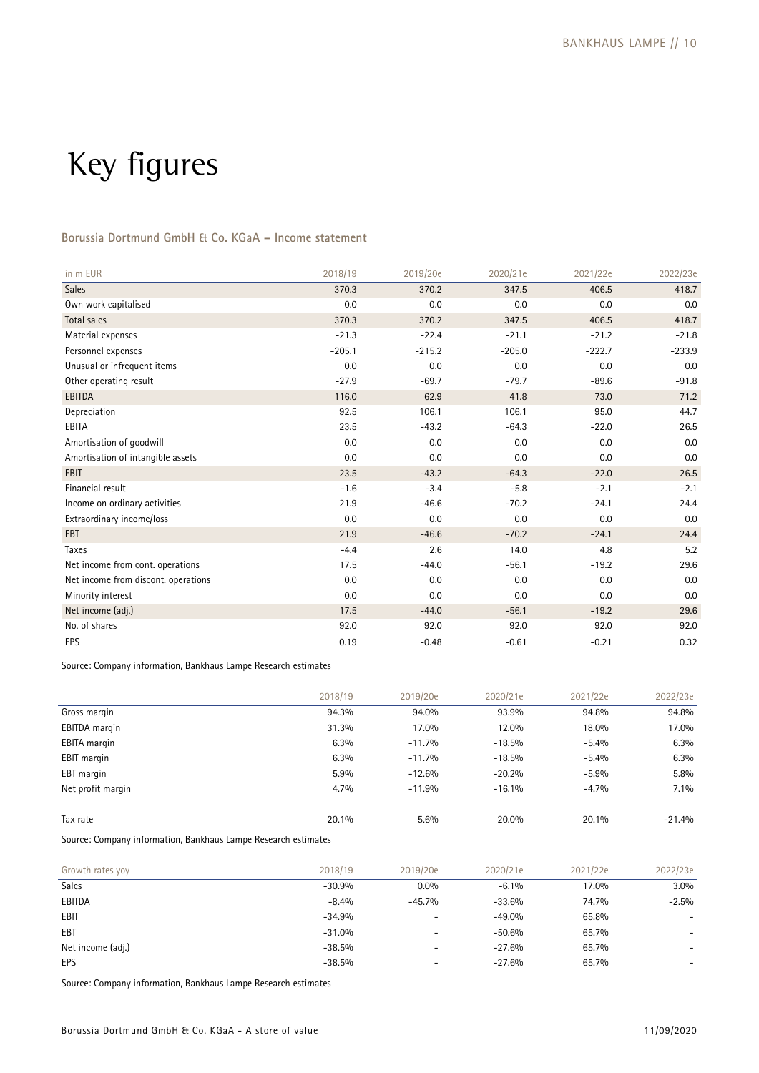# Key figures

## **Borussia Dortmund GmbH & Co. KGaA – Income statement**

| in m EUR                            | 2018/19  | 2019/20e | 2020/21e | 2021/22e | 2022/23e |
|-------------------------------------|----------|----------|----------|----------|----------|
| <b>Sales</b>                        | 370.3    | 370.2    | 347.5    | 406.5    | 418.7    |
| Own work capitalised                | 0.0      | 0.0      | 0.0      | 0.0      | 0.0      |
| <b>Total sales</b>                  | 370.3    | 370.2    | 347.5    | 406.5    | 418.7    |
| Material expenses                   | $-21.3$  | $-22.4$  | $-21.1$  | $-21.2$  | $-21.8$  |
| Personnel expenses                  | $-205.1$ | $-215.2$ | $-205.0$ | $-222.7$ | $-233.9$ |
| Unusual or infrequent items         | 0.0      | 0.0      | 0.0      | 0.0      | 0.0      |
| Other operating result              | $-27.9$  | $-69.7$  | $-79.7$  | $-89.6$  | $-91.8$  |
| <b>EBITDA</b>                       | 116.0    | 62.9     | 41.8     | 73.0     | 71.2     |
| Depreciation                        | 92.5     | 106.1    | 106.1    | 95.0     | 44.7     |
| EBITA                               | 23.5     | $-43.2$  | $-64.3$  | $-22.0$  | 26.5     |
| Amortisation of goodwill            | 0.0      | 0.0      | 0.0      | 0.0      | 0.0      |
| Amortisation of intangible assets   | 0.0      | 0.0      | 0.0      | 0.0      | 0.0      |
| <b>EBIT</b>                         | 23.5     | $-43.2$  | $-64.3$  | $-22.0$  | 26.5     |
| Financial result                    | $-1.6$   | $-3.4$   | $-5.8$   | $-2.1$   | $-2.1$   |
| Income on ordinary activities       | 21.9     | $-46.6$  | $-70.2$  | $-24.1$  | 24.4     |
| Extraordinary income/loss           | 0.0      | 0.0      | 0.0      | 0.0      | 0.0      |
| EBT                                 | 21.9     | $-46.6$  | $-70.2$  | $-24.1$  | 24.4     |
| Taxes                               | $-4.4$   | 2.6      | 14.0     | 4.8      | 5.2      |
| Net income from cont. operations    | 17.5     | $-44.0$  | $-56.1$  | $-19.2$  | 29.6     |
| Net income from discont. operations | 0.0      | 0.0      | 0.0      | 0.0      | 0.0      |
| Minority interest                   | 0.0      | 0.0      | 0.0      | 0.0      | 0.0      |
| Net income (adj.)                   | 17.5     | $-44.0$  | $-56.1$  | $-19.2$  | 29.6     |
| No. of shares                       | 92.0     | 92.0     | 92.0     | 92.0     | 92.0     |
| EPS                                 | 0.19     | $-0.48$  | $-0.61$  | $-0.21$  | 0.32     |

Source: Company information, Bankhaus Lampe Research estimates

|                     | 2018/19 | 2019/20e | 2020/21e | 2021/22e | 2022/23e |
|---------------------|---------|----------|----------|----------|----------|
| Gross margin        | 94.3%   | 94.0%    | 93.9%    | 94.8%    | 94.8%    |
| EBITDA margin       | 31.3%   | 17.0%    | 12.0%    | 18.0%    | 17.0%    |
| <b>EBITA</b> margin | 6.3%    | $-11.7%$ | $-18.5%$ | $-5.4%$  | 6.3%     |
| <b>EBIT</b> margin  | 6.3%    | $-11.7%$ | $-18.5%$ | $-5.4%$  | 6.3%     |
| EBT margin          | 5.9%    | $-12.6%$ | $-20.2%$ | $-5.9%$  | $5.8\%$  |
| Net profit margin   | $4.7\%$ | $-11.9%$ | $-16.1%$ | $-4.7%$  | $7.1\%$  |
|                     |         |          |          |          |          |
| Tax rate            | 20.1%   | 5.6%     | 20.0%    | 20.1%    | $-21.4%$ |

Source: Company information, Bankhaus Lampe Research estimates

| Growth rates yoy  | 2018/19  | 2019/20e                 | 2020/21e | 2021/22e | 2022/23e                 |
|-------------------|----------|--------------------------|----------|----------|--------------------------|
| <b>Sales</b>      | $-30.9%$ | $0.0\%$                  | $-6.1%$  | 17.0%    | $3.0\%$                  |
| EBITDA            | $-8.4%$  | $-45.7%$                 | $-33.6%$ | 74.7%    | $-2.5\%$                 |
| EBIT              | $-34.9%$ | $\overline{\phantom{0}}$ | $-49.0%$ | 65.8%    |                          |
| EBT               | $-31.0%$ | $\overline{\phantom{a}}$ | $-50.6%$ | 65.7%    | $\overline{\phantom{0}}$ |
| Net income (adj.) | $-38.5%$ | $\overline{\phantom{0}}$ | $-27.6%$ | 65.7%    |                          |
| EPS               | $-38.5%$ | $\overline{\phantom{a}}$ | $-27.6%$ | 65.7%    | -                        |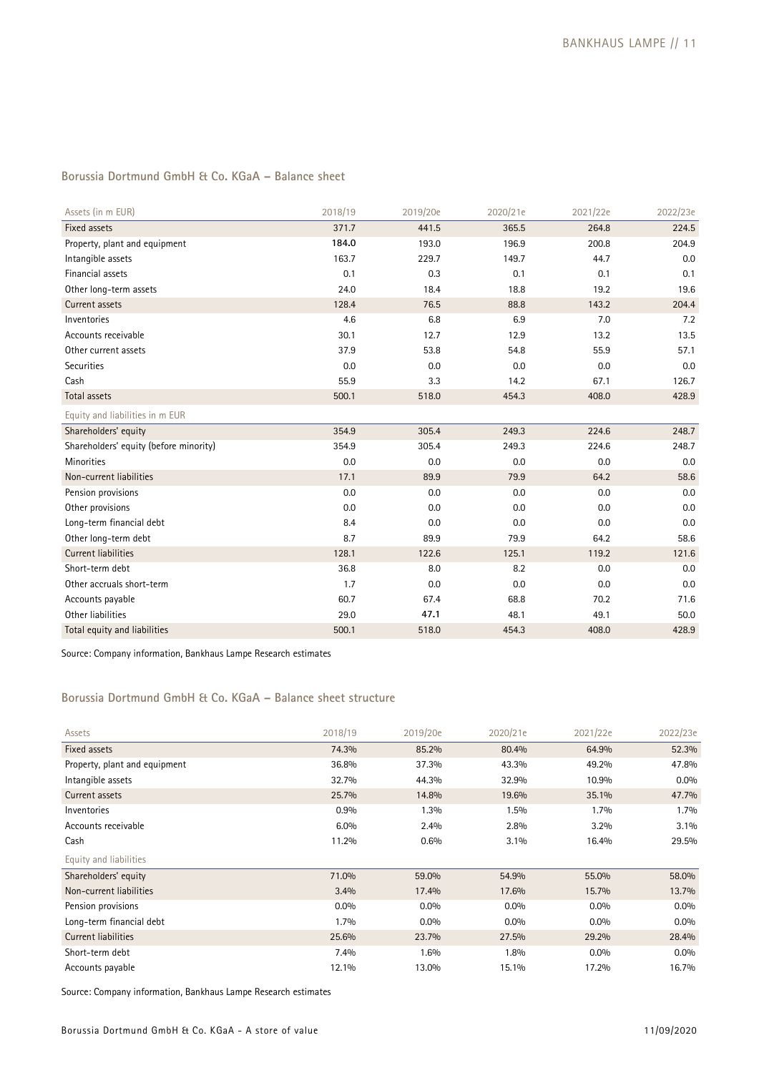## **Borussia Dortmund GmbH & Co. KGaA – Balance sheet**

| Assets (in m EUR)                      | 2018/19 | 2019/20e | 2020/21e | 2021/22e | 2022/23e |
|----------------------------------------|---------|----------|----------|----------|----------|
| Fixed assets                           | 371.7   | 441.5    | 365.5    | 264.8    | 224.5    |
| Property, plant and equipment          | 184.0   | 193.0    | 196.9    | 200.8    | 204.9    |
| Intangible assets                      | 163.7   | 229.7    | 149.7    | 44.7     | 0.0      |
| Financial assets                       | 0.1     | 0.3      | 0.1      | 0.1      | 0.1      |
| Other long-term assets                 | 24.0    | 18.4     | 18.8     | 19.2     | 19.6     |
| Current assets                         | 128.4   | 76.5     | 88.8     | 143.2    | 204.4    |
| Inventories                            | 4.6     | 6.8      | 6.9      | 7.0      | 7.2      |
| Accounts receivable                    | 30.1    | 12.7     | 12.9     | 13.2     | 13.5     |
| Other current assets                   | 37.9    | 53.8     | 54.8     | 55.9     | 57.1     |
| Securities                             | 0.0     | 0.0      | 0.0      | 0.0      | 0.0      |
| Cash                                   | 55.9    | 3.3      | 14.2     | 67.1     | 126.7    |
| <b>Total assets</b>                    | 500.1   | 518.0    | 454.3    | 408.0    | 428.9    |
| Equity and liabilities in m EUR        |         |          |          |          |          |
| Shareholders' equity                   | 354.9   | 305.4    | 249.3    | 224.6    | 248.7    |
| Shareholders' equity (before minority) | 354.9   | 305.4    | 249.3    | 224.6    | 248.7    |
| <b>Minorities</b>                      | 0.0     | 0.0      | 0.0      | 0.0      | 0.0      |
| Non-current liabilities                | 17.1    | 89.9     | 79.9     | 64.2     | 58.6     |
| Pension provisions                     | 0.0     | 0.0      | 0.0      | 0.0      | 0.0      |
| Other provisions                       | 0.0     | 0.0      | 0.0      | 0.0      | 0.0      |
| Long-term financial debt               | 8.4     | 0.0      | 0.0      | 0.0      | 0.0      |
| Other long-term debt                   | 8.7     | 89.9     | 79.9     | 64.2     | 58.6     |
| <b>Current liabilities</b>             | 128.1   | 122.6    | 125.1    | 119.2    | 121.6    |
| Short-term debt                        | 36.8    | 8.0      | 8.2      | 0.0      | 0.0      |
| Other accruals short-term              | 1.7     | 0.0      | 0.0      | 0.0      | 0.0      |
| Accounts payable                       | 60.7    | 67.4     | 68.8     | 70.2     | 71.6     |
| Other liabilities                      | 29.0    | 47.1     | 48.1     | 49.1     | 50.0     |
| Total equity and liabilities           | 500.1   | 518.0    | 454.3    | 408.0    | 428.9    |

Source: Company information, Bankhaus Lampe Research estimates

## **Borussia Dortmund GmbH & Co. KGaA – Balance sheet structure**

| Assets                        | 2018/19 | 2019/20e | 2020/21e | 2021/22e | 2022/23e |
|-------------------------------|---------|----------|----------|----------|----------|
| Fixed assets                  | 74.3%   | 85.2%    | 80.4%    | 64.9%    | 52.3%    |
| Property, plant and equipment | 36.8%   | 37.3%    | 43.3%    | 49.2%    | 47.8%    |
| Intangible assets             | 32.7%   | 44.3%    | 32.9%    | 10.9%    | $0.0\%$  |
| Current assets                | 25.7%   | 14.8%    | 19.6%    | 35.1%    | 47.7%    |
| Inventories                   | 0.9%    | 1.3%     | 1.5%     | 1.7%     | 1.7%     |
| Accounts receivable           | 6.0%    | 2.4%     | 2.8%     | $3.2\%$  | 3.1%     |
| Cash                          | 11.2%   | 0.6%     | 3.1%     | 16.4%    | 29.5%    |
| Equity and liabilities        |         |          |          |          |          |
| Shareholders' equity          | 71.0%   | 59.0%    | 54.9%    | 55.0%    | 58.0%    |
| Non-current liabilities       | 3.4%    | 17.4%    | 17.6%    | 15.7%    | 13.7%    |
| Pension provisions            | $0.0\%$ | $0.0\%$  | $0.0\%$  | $0.0\%$  | $0.0\%$  |
| Long-term financial debt      | $1.7\%$ | $0.0\%$  | $0.0\%$  | $0.0\%$  | $0.0\%$  |
| Current liabilities           | 25.6%   | 23.7%    | 27.5%    | 29.2%    | 28.4%    |
| Short-term debt               | 7.4%    | 1.6%     | 1.8%     | $0.0\%$  | $0.0\%$  |
| Accounts payable              | 12.1%   | 13.0%    | 15.1%    | 17.2%    | 16.7%    |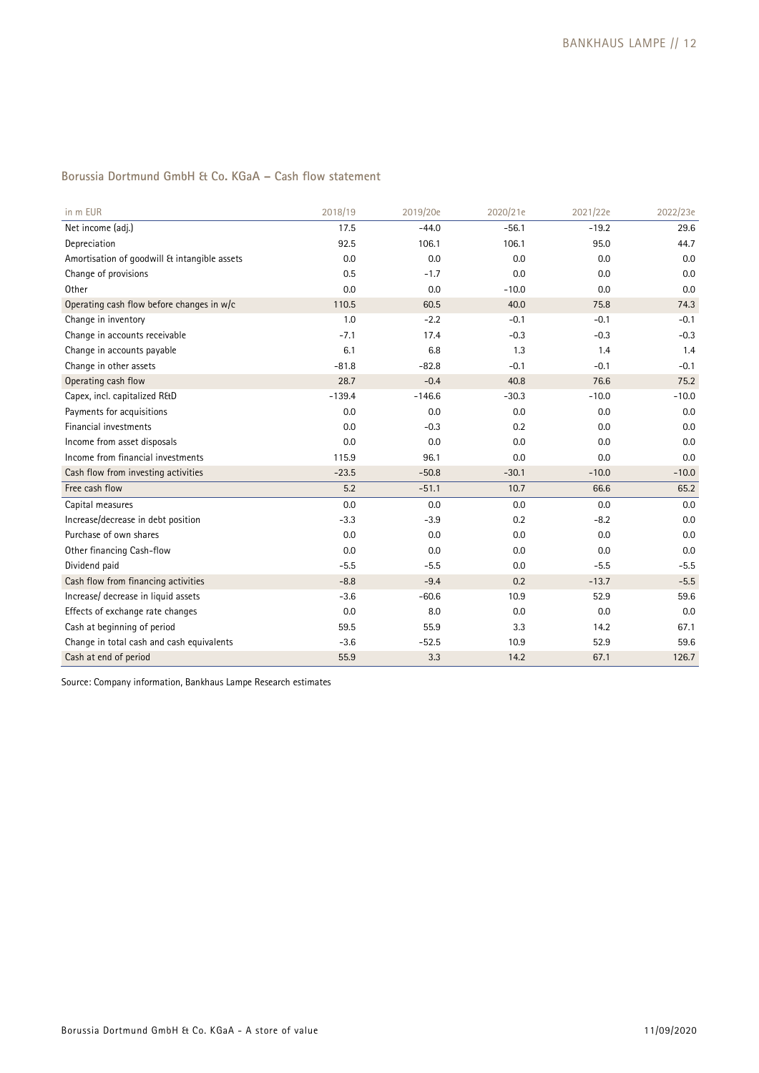## **Borussia Dortmund GmbH & Co. KGaA – Cash flow statement**

| in m EUR                                     | 2018/19  | 2019/20e | 2020/21e | 2021/22e | 2022/23e |
|----------------------------------------------|----------|----------|----------|----------|----------|
| Net income (adj.)                            | 17.5     | $-44.0$  | $-56.1$  | $-19.2$  | 29.6     |
| Depreciation                                 | 92.5     | 106.1    | 106.1    | 95.0     | 44.7     |
| Amortisation of goodwill & intangible assets | 0.0      | 0.0      | 0.0      | 0.0      | 0.0      |
| Change of provisions                         | 0.5      | $-1.7$   | 0.0      | 0.0      | 0.0      |
| Other                                        | 0.0      | 0.0      | $-10.0$  | 0.0      | 0.0      |
| Operating cash flow before changes in w/c    | 110.5    | 60.5     | 40.0     | 75.8     | 74.3     |
| Change in inventory                          | 1.0      | $-2.2$   | $-0.1$   | $-0.1$   | $-0.1$   |
| Change in accounts receivable                | $-7.1$   | 17.4     | $-0.3$   | $-0.3$   | $-0.3$   |
| Change in accounts payable                   | 6.1      | 6.8      | 1.3      | 1.4      | 1.4      |
| Change in other assets                       | $-81.8$  | $-82.8$  | $-0.1$   | $-0.1$   | $-0.1$   |
| Operating cash flow                          | 28.7     | $-0.4$   | 40.8     | 76.6     | 75.2     |
| Capex, incl. capitalized R&D                 | $-139.4$ | $-146.6$ | $-30.3$  | $-10.0$  | $-10.0$  |
| Payments for acquisitions                    | 0.0      | 0.0      | 0.0      | 0.0      | 0.0      |
| Financial investments                        | 0.0      | $-0.3$   | 0.2      | 0.0      | 0.0      |
| Income from asset disposals                  | 0.0      | 0.0      | 0.0      | 0.0      | 0.0      |
| Income from financial investments            | 115.9    | 96.1     | 0.0      | 0.0      | 0.0      |
| Cash flow from investing activities          | $-23.5$  | $-50.8$  | $-30.1$  | $-10.0$  | $-10.0$  |
| Free cash flow                               | 5.2      | $-51.1$  | 10.7     | 66.6     | 65.2     |
| Capital measures                             | 0.0      | 0.0      | 0.0      | 0.0      | 0.0      |
| Increase/decrease in debt position           | $-3.3$   | $-3.9$   | 0.2      | $-8.2$   | 0.0      |
| Purchase of own shares                       | 0.0      | 0.0      | 0.0      | 0.0      | 0.0      |
| Other financing Cash-flow                    | 0.0      | 0.0      | 0.0      | 0.0      | 0.0      |
| Dividend paid                                | $-5.5$   | $-5.5$   | 0.0      | $-5.5$   | $-5.5$   |
| Cash flow from financing activities          | $-8.8$   | $-9.4$   | 0.2      | $-13.7$  | $-5.5$   |
| Increase/ decrease in liquid assets          | $-3.6$   | $-60.6$  | 10.9     | 52.9     | 59.6     |
| Effects of exchange rate changes             | 0.0      | 8.0      | 0.0      | 0.0      | 0.0      |
| Cash at beginning of period                  | 59.5     | 55.9     | 3.3      | 14.2     | 67.1     |
| Change in total cash and cash equivalents    | $-3.6$   | $-52.5$  | 10.9     | 52.9     | 59.6     |
| Cash at end of period                        | 55.9     | 3.3      | 14.2     | 67.1     | 126.7    |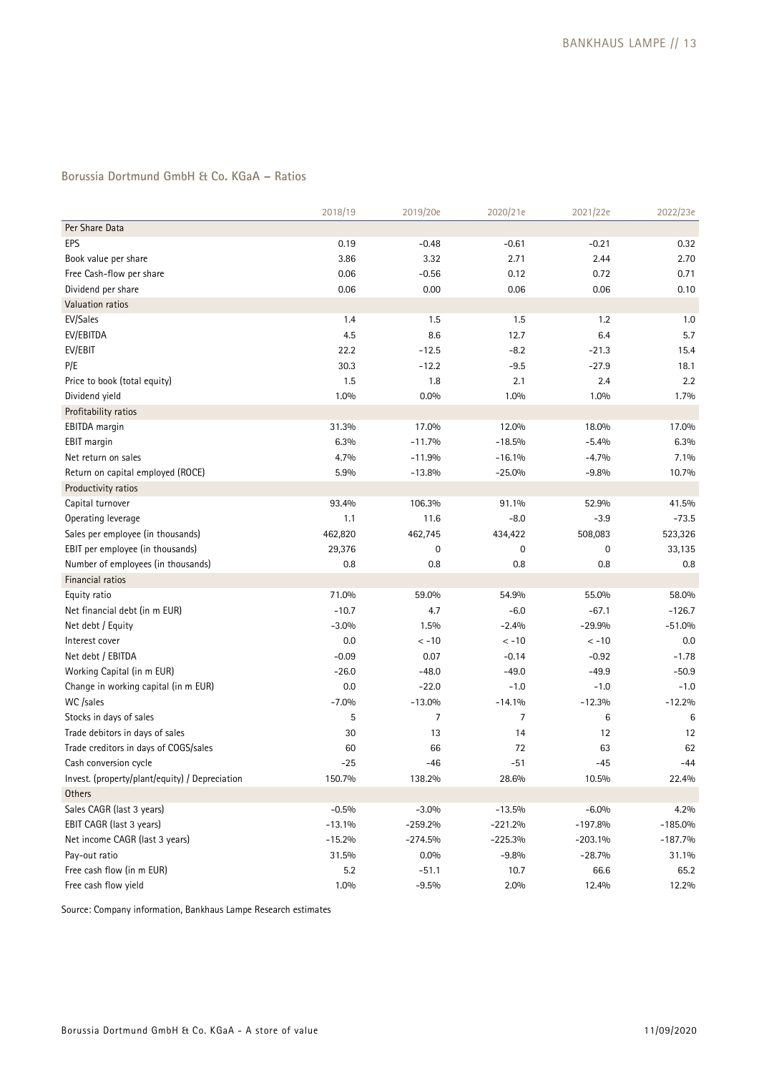## **Borussia Dortmund GmbH & Co. KGaA – Ratios**

|                                                | 2018/19  | 2019/20e  | 2020/21e       | 2021/22e  | 2022/23e  |
|------------------------------------------------|----------|-----------|----------------|-----------|-----------|
| Per Share Data                                 |          |           |                |           |           |
| EPS                                            | 0.19     | $-0.48$   | $-0.61$        | $-0.21$   | 0.32      |
| Book value per share                           | 3.86     | 3.32      | 2.71           | 2.44      | 2.70      |
| Free Cash-flow per share                       | 0.06     | $-0.56$   | 0.12           | 0.72      | 0.71      |
| Dividend per share                             | 0.06     | 0.00      | 0.06           | 0.06      | 0.10      |
| Valuation ratios                               |          |           |                |           |           |
| EV/Sales                                       | 1.4      | 1.5       | 1.5            | 1.2       | 1.0       |
| EV/EBITDA                                      | 4.5      | 8.6       | 12.7           | 6.4       | 5.7       |
| EV/EBIT                                        | 22.2     | $-12.5$   | $-8.2$         | $-21.3$   | 15.4      |
| P/E                                            | 30.3     | $-12.2$   | $-9.5$         | $-27.9$   | 18.1      |
| Price to book (total equity)                   | 1.5      | 1.8       | 2.1            | 2.4       | 2.2       |
| Dividend yield                                 | 1.0%     | $0.0\%$   | 1.0%           | 1.0%      | 1.7%      |
| Profitability ratios                           |          |           |                |           |           |
| EBITDA margin                                  | 31.3%    | 17.0%     | 12.0%          | 18.0%     | 17.0%     |
| EBIT margin                                    | 6.3%     | $-11.7%$  | $-18.5%$       | $-5.4%$   | 6.3%      |
| Net return on sales                            | 4.7%     | $-11.9%$  | $-16.1%$       | $-4.7%$   | 7.1%      |
| Return on capital employed (ROCE)              | 5.9%     | $-13.8%$  | $-25.0%$       | $-9.8%$   | 10.7%     |
| Productivity ratios                            |          |           |                |           |           |
| Capital turnover                               | 93.4%    | 106.3%    | 91.1%          | 52.9%     | 41.5%     |
| Operating leverage                             | 1.1      | 11.6      | $-8.0$         | $-3.9$    | $-73.5$   |
| Sales per employee (in thousands)              | 462,820  | 462,745   | 434,422        | 508,083   | 523,326   |
| EBIT per employee (in thousands)               | 29,376   | 0         | 0              | 0         | 33,135    |
| Number of employees (in thousands)             | 0.8      | 0.8       | 0.8            | 0.8       | 0.8       |
| Financial ratios                               |          |           |                |           |           |
| Equity ratio                                   | 71.0%    | 59.0%     | 54.9%          | 55.0%     | 58.0%     |
| Net financial debt (in m EUR)                  | $-10.7$  | 4.7       | $-6.0$         | $-67.1$   | $-126.7$  |
| Net debt / Equity                              | $-3.0%$  | 1.5%      | $-2.4%$        | $-29.9%$  | $-51.0%$  |
| Interest cover                                 | 0.0      | $< -10$   | $< -10$        | $< -10$   | 0.0       |
| Net debt / EBITDA                              | $-0.09$  | 0.07      | $-0.14$        | $-0.92$   | $-1.78$   |
| Working Capital (in m EUR)                     | $-26.0$  | $-48.0$   | $-49.0$        | $-49.9$   | $-50.9$   |
| Change in working capital (in m EUR)           | 0.0      | $-22.0$   | $-1.0$         | $-1.0$    | $-1.0$    |
| WC /sales                                      | $-7.0%$  | $-13.0%$  | $-14.1%$       | $-12.3%$  | $-12.2%$  |
| Stocks in days of sales                        | 5        | 7         | $\overline{7}$ | 6         | 6         |
| Trade debitors in days of sales                | 30       | 13        | 14             | 12        | 12        |
| Trade creditors in days of COGS/sales          | 60       | 66        | 72             | 63        | 62        |
| Cash conversion cycle                          | $-25$    | -46       | $-51$          | $-45$     | $-44$     |
| Invest. (property/plant/equity) / Depreciation | 150.7%   | 138.2%    | 28.6%          | 10.5%     | 22.4%     |
| Others                                         |          |           |                |           |           |
| Sales CAGR (last 3 years)                      | $-0.5%$  | $-3.0%$   | $-13.5%$       | $-6.0%$   | 4.2%      |
| EBIT CAGR (last 3 years)                       | $-13.1%$ | $-259.2%$ | $-221.2%$      | $-197.8%$ | $-185.0%$ |
| Net income CAGR (last 3 years)                 | $-15.2%$ | $-274.5%$ | $-225.3%$      | $-203.1%$ | $-187.7%$ |
| Pay-out ratio                                  | 31.5%    | $0.0\%$   | $-9.8%$        | $-28.7%$  | 31.1%     |
| Free cash flow (in m EUR)                      | 5.2      | $-51.1$   | 10.7           | 66.6      | 65.2      |
| Free cash flow yield                           | 1.0%     | $-9.5%$   | 2.0%           | 12.4%     | 12.2%     |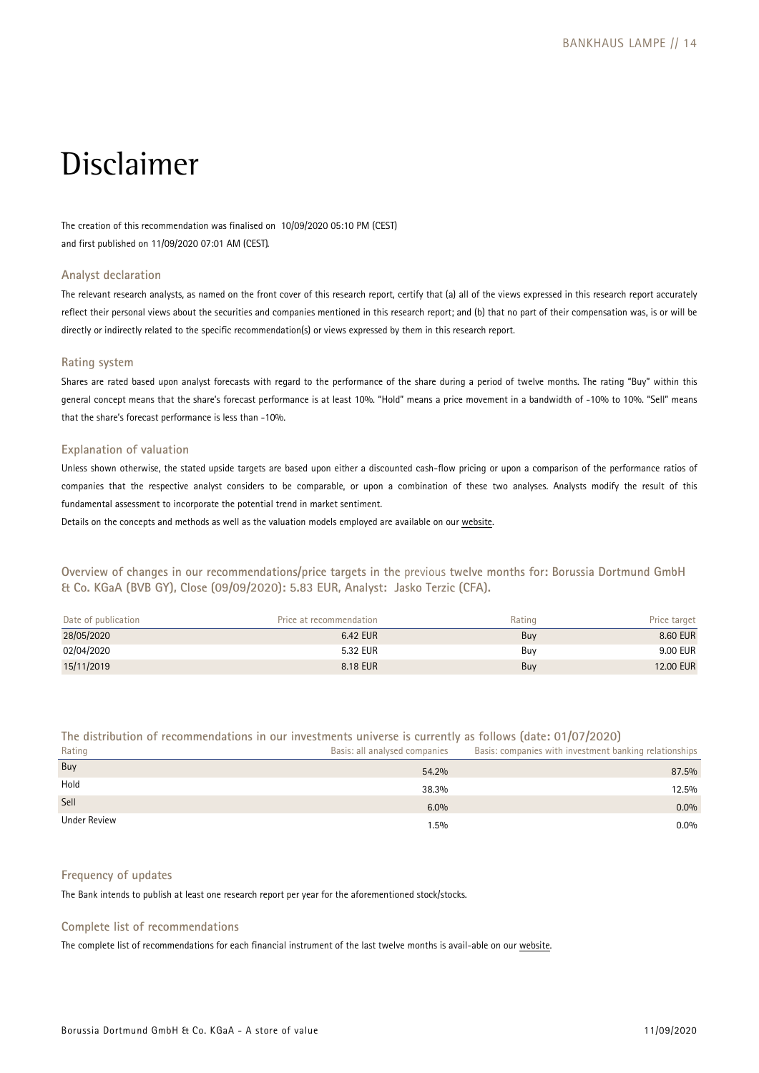## Disclaimer

The creation of this recommendation was finalised on 10/09/2020 05:10 PM (CEST) and first published on 11/09/2020 07:01 AM (CEST).

### **Analyst declaration**

The relevant research analysts, as named on the front cover of this research report, certify that (a) all of the views expressed in this research report accurately reflect their personal views about the securities and companies mentioned in this research report; and (b) that no part of their compensation was, is or will be directly or indirectly related to the specific recommendation(s) or views expressed by them in this research report.

### **Rating system**

Shares are rated based upon analyst forecasts with regard to the performance of the share during a period of twelve months. The rating "Buy" within this general concept means that the share's forecast performance is at least 10%. "Hold" means a price movement in a bandwidth of -10% to 10%. "Sell" means that the share's forecast performance is less than -10%.

### **Explanation of valuation**

Unless shown otherwise, the stated upside targets are based upon either a discounted cash-flow pricing or upon a comparison of the performance ratios of companies that the respective analyst considers to be comparable, or upon a combination of these two analyses. Analysts modify the result of this fundamental assessment to incorporate the potential trend in market sentiment.

Details on the concepts and methods as well as the valuation models employed are available on our [website.](https://www.bankhaus-lampe.de/en/research/file/2E1F42C7-9372-4AB5-9D28-91CB91EAA40E/1852)

**Overview of changes in our recommendations/price targets in the** previous **twelve months for: Borussia Dortmund GmbH & Co. KGaA (BVB GY), Close (09/09/2020): 5.83 EUR, Analyst: Jasko Terzic (CFA).** 

| Date of publication | Price at recommendation | Rating | Price target |
|---------------------|-------------------------|--------|--------------|
| 28/05/2020          | 6.42 EUR                | Buy    | 8.60 EUR     |
| 02/04/2020          | 5.32 EUR                | Buv    | 9.00 EUR     |
| 15/11/2019          | 8.18 EUR                | Buy    | 12.00 EUR    |

## **The distribution of recommendations in our investments universe is currently as follows (date: 01/07/2020)**

| Rating       | Basis: all analysed companies | Basis: companies with investment banking relationships |
|--------------|-------------------------------|--------------------------------------------------------|
| Buy          | 54.2%                         | 87.5%                                                  |
| Hold         | 38.3%                         | 12.5%                                                  |
| Sell         | 6.0%                          | $0.0\%$                                                |
| Under Review | 1.5%                          | $0.0\%$                                                |

### **Frequency of updates**

The Bank intends to publish at least one research report per year for the aforementioned stock/stocks.

### **Complete list of recommendations**

The complete list of recommendations for each financial instrument of the last twelve months is avail-able on our [website.](https://www.bankhaus-lampe.de/en/client-portal)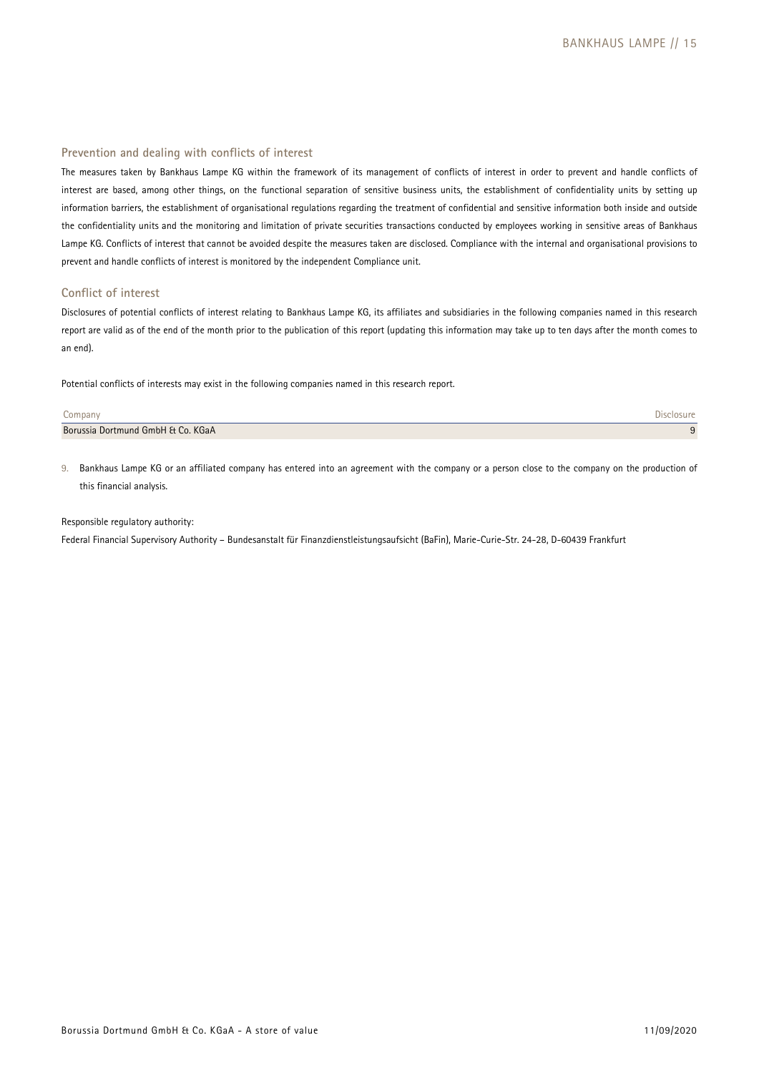### **Prevention and dealing with conflicts of interest**

The measures taken by Bankhaus Lampe KG within the framework of its management of conflicts of interest in order to prevent and handle conflicts of interest are based, among other things, on the functional separation of sensitive business units, the establishment of confidentiality units by setting up information barriers, the establishment of organisational regulations regarding the treatment of confidential and sensitive information both inside and outside the confidentiality units and the monitoring and limitation of private securities transactions conducted by employees working in sensitive areas of Bankhaus Lampe KG. Conflicts of interest that cannot be avoided despite the measures taken are disclosed. Compliance with the internal and organisational provisions to prevent and handle conflicts of interest is monitored by the independent Compliance unit.

### **Conflict of interest**

Disclosures of potential conflicts of interest relating to Bankhaus Lampe KG, its affiliates and subsidiaries in the following companies named in this research report are valid as of the end of the month prior to the publication of this report (updating this information may take up to ten days after the month comes to an end).

Potential conflicts of interests may exist in the following companies named in this research report.

| Company                           |  |
|-----------------------------------|--|
| Borussia Dortmund GmbH & Co. KGaA |  |

9. Bankhaus Lampe KG or an affiliated company has entered into an agreement with the company or a person close to the company on the production of this financial analysis.

#### Responsible regulatory authority:

Federal Financial Supervisory Authority – Bundesanstalt für Finanzdienstleistungsaufsicht (BaFin), Marie-Curie-Str. 24-28, D-60439 Frankfurt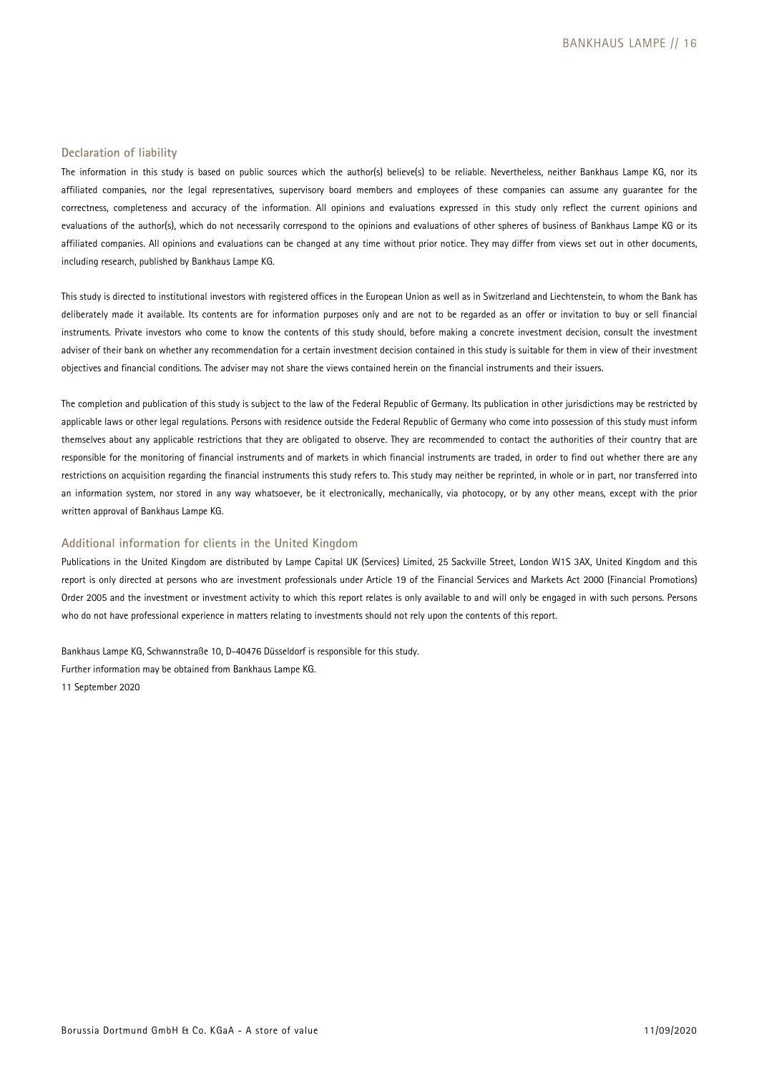### **Declaration of liability**

The information in this study is based on public sources which the author(s) believe(s) to be reliable. Nevertheless, neither Bankhaus Lampe KG, nor its affiliated companies, nor the legal representatives, supervisory board members and employees of these companies can assume any guarantee for the correctness, completeness and accuracy of the information. All opinions and evaluations expressed in this study only reflect the current opinions and evaluations of the author(s), which do not necessarily correspond to the opinions and evaluations of other spheres of business of Bankhaus Lampe KG or its affiliated companies. All opinions and evaluations can be changed at any time without prior notice. They may differ from views set out in other documents, including research, published by Bankhaus Lampe KG.

This study is directed to institutional investors with registered offices in the European Union as well as in Switzerland and Liechtenstein, to whom the Bank has deliberately made it available. Its contents are for information purposes only and are not to be regarded as an offer or invitation to buy or sell financial instruments. Private investors who come to know the contents of this study should, before making a concrete investment decision, consult the investment adviser of their bank on whether any recommendation for a certain investment decision contained in this study is suitable for them in view of their investment objectives and financial conditions. The adviser may not share the views contained herein on the financial instruments and their issuers.

The completion and publication of this study is subject to the law of the Federal Republic of Germany. Its publication in other jurisdictions may be restricted by applicable laws or other legal regulations. Persons with residence outside the Federal Republic of Germany who come into possession of this study must inform themselves about any applicable restrictions that they are obligated to observe. They are recommended to contact the authorities of their country that are responsible for the monitoring of financial instruments and of markets in which financial instruments are traded, in order to find out whether there are any restrictions on acquisition regarding the financial instruments this study refers to. This study may neither be reprinted, in whole or in part, nor transferred into an information system, nor stored in any way whatsoever, be it electronically, mechanically, via photocopy, or by any other means, except with the prior written approval of Bankhaus Lampe KG.

### **Additional information for clients in the United Kingdom**

Publications in the United Kingdom are distributed by Lampe Capital UK (Services) Limited, 25 Sackville Street, London W1S 3AX, United Kingdom and this report is only directed at persons who are investment professionals under Article 19 of the Financial Services and Markets Act 2000 (Financial Promotions) Order 2005 and the investment or investment activity to which this report relates is only available to and will only be engaged in with such persons. Persons who do not have professional experience in matters relating to investments should not rely upon the contents of this report.

Bankhaus Lampe KG, Schwannstraße 10, D-40476 Düsseldorf is responsible for this study. Further information may be obtained from Bankhaus Lampe KG. 11 September 2020